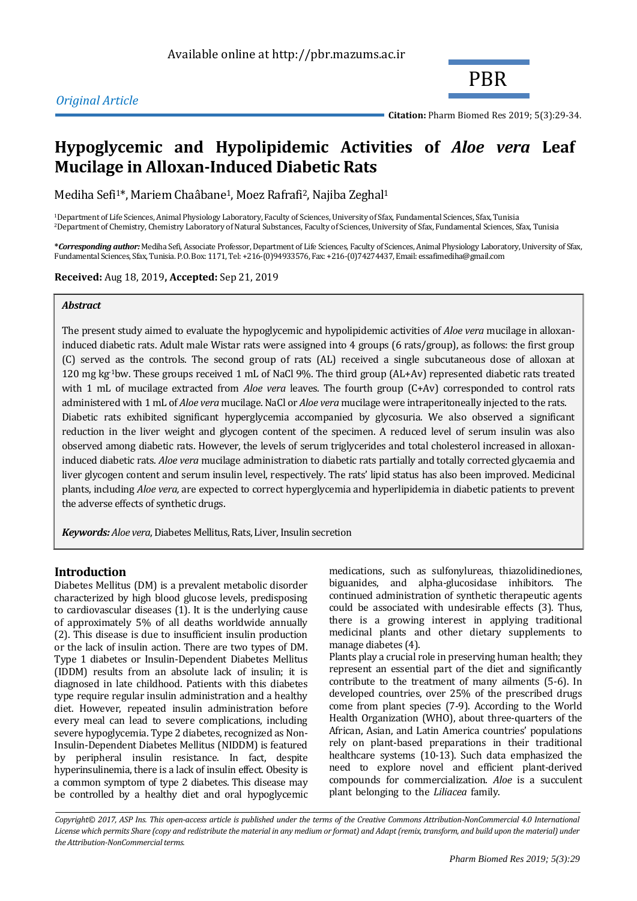# *Original Article*



**Citation:** Pharm Biomed Res 2019; 5(3):29-34.

# **Hypoglycemic and Hypolipidemic Activities of** *Aloe vera* **Leaf Mucilage in Alloxan-Induced Diabetic Rats**

Mediha Sefi<sup>1\*</sup>, Mariem Chaâbane<sup>1</sup>, Moez Rafrafi<sup>2</sup>, Najiba Zeghal<sup>1</sup>

<sup>1</sup>Department of Life Sciences, Animal Physiology Laboratory, Faculty of Sciences, University of Sfax, Fundamental Sciences, Sfax, Tunisia <sup>2</sup>Department of Chemistry, Chemistry Laboratory of Natural Substances, Faculty of Sciences, University of Sfax, Fundamental Sciences, Sfax, Tunisia

**\****Corresponding author:* Mediha Sefi, Associate Professor, Department of Life Sciences, Faculty of Sciences, Animal Physiology Laboratory, University of Sfax, Fundamental Sciences, Sfax, Tunisia. P.O. Box: 1171, Tel: +216-(0)94933576, Fax: +216-(0)74274437, Email: essafimediha@gmail.com

**Received:** Aug 18, 2019**, Accepted:** Sep 21, 2019

### *Abstract*

The present study aimed to evaluate the hypoglycemic and hypolipidemic activities of *Aloe vera* mucilage in alloxaninduced diabetic rats. Adult male Wistar rats were assigned into 4 groups (6 rats/group), as follows: the first group (C) served as the controls. The second group of rats (AL) received a single subcutaneous dose of alloxan at 120 mg kg-1bw. These groups received 1 mL of NaCl 9%. The third group (AL+Av) represented diabetic rats treated with 1 mL of mucilage extracted from *Aloe vera* leaves. The fourth group (C+Av) corresponded to control rats administered with 1 mL of *Aloe vera* mucilage. NaCl or *Aloe vera* mucilage were intraperitoneally injected to the rats. Diabetic rats exhibited significant hyperglycemia accompanied by glycosuria. We also observed a significant reduction in the liver weight and glycogen content of the specimen. A reduced level of serum insulin was also observed among diabetic rats. However, the levels of serum triglycerides and total cholesterol increased in alloxaninduced diabetic rats. *Aloe vera* mucilage administration to diabetic rats partially and totally corrected glycaemia and liver glycogen content and serum insulin level, respectively. The rats' lipid status has also been improved. Medicinal plants, including *Aloe vera,* are expected to correct hyperglycemia and hyperlipidemia in diabetic patients to prevent the adverse effects of synthetic drugs.

*Keywords: Aloe vera*, Diabetes Mellitus, Rats, Liver, Insulin secretion

# **Introduction**

Diabetes Mellitus (DM) is a prevalent metabolic disorder characterized by high blood glucose levels, predisposing to cardiovascular diseases (1). It is the underlying cause of approximately 5% of all deaths worldwide annually (2). This disease is due to insufficient insulin production or the lack of insulin action. There are two types of DM. Type 1 diabetes or Insulin-Dependent Diabetes Mellitus (IDDM) results from an absolute lack of insulin; it is diagnosed in late childhood. Patients with this diabetes type require regular insulin administration and a healthy diet. However, repeated insulin administration before every meal can lead to severe complications, including severe hypoglycemia. Type 2 diabetes, recognized as Non-Insulin-Dependent Diabetes Mellitus (NIDDM) is featured by peripheral insulin resistance. In fact, despite hyperinsulinemia, there is a lack of insulin effect. Obesity is a common symptom of type 2 diabetes. This disease may be controlled by a healthy diet and oral hypoglycemic medications, such as sulfonylureas, thiazolidinediones, biguanides, and alpha-glucosidase inhibitors. The continued administration of synthetic therapeutic agents could be associated with undesirable effects (3). Thus, there is a growing interest in applying traditional medicinal plants and other dietary supplements to manage diabetes (4).

Plants play a crucial role in preserving human health; they represent an essential part of the diet and significantly contribute to the treatment of many ailments (5-6). In developed countries, over 25% of the prescribed drugs come from plant species (7-9). According to the World Health Organization (WHO), about three-quarters of the African, Asian, and Latin America countries' populations rely on plant-based preparations in their traditional healthcare systems (10-13). Such data emphasized the need to explore novel and efficient plant-derived compounds for commercialization. *Aloe* is a succulent plant belonging to the *Liliacea* family.

*Copyright© 2017, ASP Ins. This open-access article is published under the terms of the Creative Commons Attribution-NonCommercial 4.0 International*  License which permits Share (copy and redistribute the material in any medium or format) and Adapt (remix, transform, and build upon the material) under *the Attribution-NonCommercial terms.*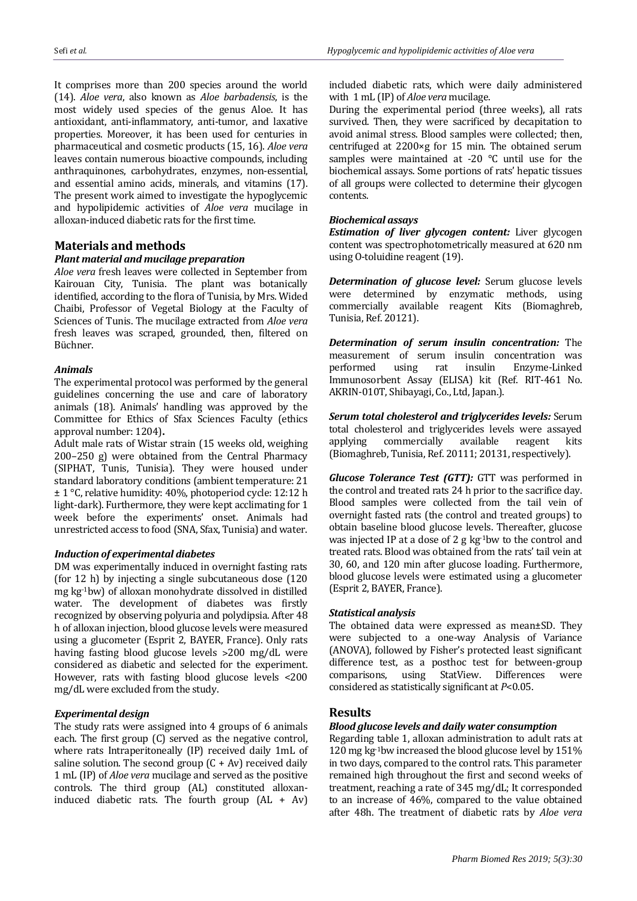It comprises more than 200 species around the world (14). *Aloe vera*, also known as *Aloe barbadensis*, is the most widely used species of the genus Aloe. It has antioxidant, anti-inflammatory, anti-tumor, and laxative properties. Moreover, it has been used for centuries in pharmaceutical and cosmetic products (15, 16). *Aloe vera* leaves contain numerous bioactive compounds, including anthraquinones, carbohydrates, enzymes, non-essential, and essential amino acids, minerals, and vitamins (17). The present work aimed to investigate the hypoglycemic and hypolipidemic activities of *Aloe vera* mucilage in alloxan-induced diabetic rats for the first time.

### **Materials and methods**

# *Plant material and mucilage preparation*

*Aloe vera* fresh leaves were collected in September from Kairouan City, Tunisia. The plant was botanically identified, according to the flora of Tunisia, by Mrs. Wided Chaibi, Professor of Vegetal Biology at the Faculty of Sciences of Tunis. The mucilage extracted from *Aloe vera*  fresh leaves was scraped, grounded, then, filtered on Büchner.

#### *Animals*

The experimental protocol was performed by the general guidelines concerning the use and care of laboratory animals (18). Animals' handling was approved by the Committee for Ethics of Sfax Sciences Faculty (ethics approval number: 1204)**.**

Adult male rats of Wistar strain (15 weeks old, weighing 200–250 g) were obtained from the Central Pharmacy (SIPHAT, Tunis, Tunisia). They were housed under standard laboratory conditions (ambient temperature: 21 ± 1 °C, relative humidity: 40%, photoperiod cycle: 12:12 h light-dark). Furthermore, they were kept acclimating for 1 week before the experiments' onset. Animals had unrestricted access to food (SNA, Sfax, Tunisia) and water.

#### *Induction of experimental diabetes*

DM was experimentally induced in overnight fasting rats (for 12 h) by injecting a single subcutaneous dose (120 mg kg-1bw) of alloxan monohydrate dissolved in distilled water. The development of diabetes was firstly recognized by observing polyuria and polydipsia. After 48 h of alloxan injection, blood glucose levels were measured using a glucometer (Esprit 2, BAYER, France). Only rats having fasting blood glucose levels >200 mg/dL were considered as diabetic and selected for the experiment. However, rats with fasting blood glucose levels <200 mg/dL were excluded from the study.

#### *Experimental design*

The study rats were assigned into 4 groups of 6 animals each. The first group (C) served as the negative control, where rats Intraperitoneally (IP) received daily 1mL of saline solution. The second group  $(C + Av)$  received daily 1 mL (IP) of *Aloe vera* mucilage and served as the positive controls. The third group (AL) constituted alloxaninduced diabetic rats. The fourth group (AL + Av)

included diabetic rats, which were daily administered with 1 mL (IP) of *Aloe vera* mucilage.

During the experimental period (three weeks), all rats survived. Then, they were sacrificed by decapitation to avoid animal stress. Blood samples were collected; then, centrifuged at 2200×g for 15 min. The obtained serum samples were maintained at -20 °C until use for the biochemical assays. Some portions of rats' hepatic tissues of all groups were collected to determine their glycogen contents.

### *Biochemical assays*

*Estimation of liver glycogen content:* Liver glycogen content was spectrophotometrically measured at 620 nm using O-toluidine reagent (19).

*Determination of glucose level:* Serum glucose levels were determined by enzymatic methods, using commercially available reagent Kits (Biomaghreb, Tunisia, Ref. 20121).

*Determination of serum insulin concentration:* The measurement of serum insulin concentration was performed using rat insulin Enzyme-Linked Immunosorbent Assay (ELISA) kit (Ref. RIT-461 No. AKRIN-010T, Shibayagi, Co., Ltd, Japan.).

*Serum total cholesterol and triglycerides levels:* Serum total cholesterol and triglycerides levels were assayed applying commercially available reagent kits (Biomaghreb, Tunisia, Ref. 20111; 20131, respectively).

*Glucose Tolerance Test (GTT):* GTT was performed in the control and treated rats 24 h prior to the sacrifice day. Blood samples were collected from the tail vein of overnight fasted rats (the control and treated groups) to obtain baseline blood glucose levels. Thereafter, glucose was injected IP at a dose of 2 g kg-1bw to the control and treated rats. Blood was obtained from the rats' tail vein at 30, 60, and 120 min after glucose loading. Furthermore, blood glucose levels were estimated using a glucometer (Esprit 2, BAYER, France).

### *Statistical analysis*

The obtained data were expressed as mean±SD. They were subjected to a one-way Analysis of Variance (ANOVA), followed by Fisher's protected least significant difference test, as a posthoc test for between-group comparisons, using StatView. Differences were considered as statistically significant at *P*<0.05.

### **Results**

#### *Blood glucose levels and daily water consumption*

Regarding table 1, alloxan administration to adult rats at 120 mg kg-1bw increased the blood glucose level by 151% in two days, compared to the control rats. This parameter remained high throughout the first and second weeks of treatment, reaching a rate of 345 mg/dL; It corresponded to an increase of 46%, compared to the value obtained after 48h. The treatment of diabetic rats by *Aloe vera*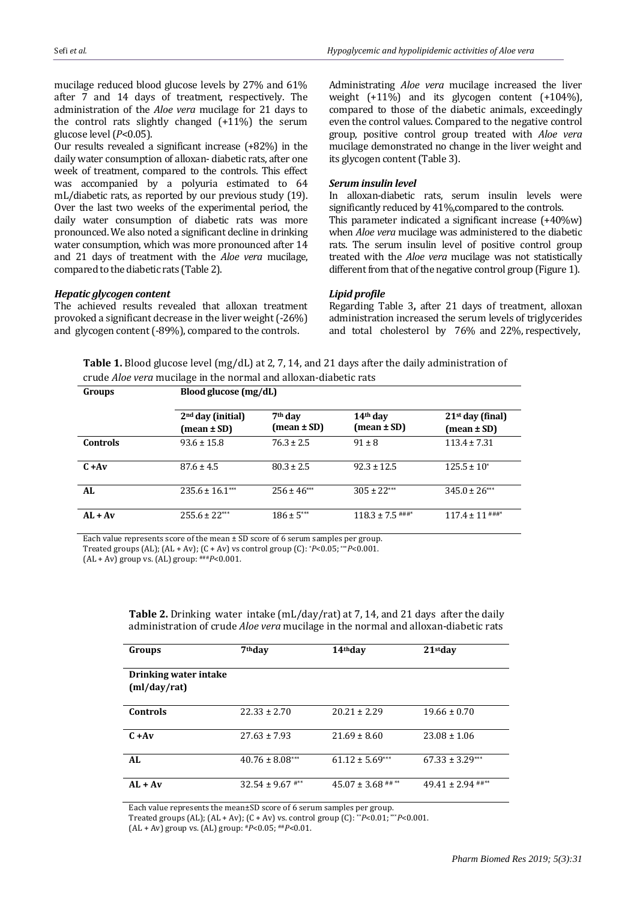mucilage reduced blood glucose levels by 27% and 61% after 7 and 14 days of treatment, respectively. The administration of the *Aloe vera* mucilage for 21 days to the control rats slightly changed (+11%) the serum glucose level (*P*<0.05).

Our results revealed a significant increase (+82%) in the daily water consumption of alloxan- diabetic rats, after one week of treatment, compared to the controls. This effect was accompanied by a polyuria estimated to 64 mL/diabetic rats, as reported by our previous study (19). Over the last two weeks of the experimental period, the daily water consumption of diabetic rats was more pronounced. We also noted a significant decline in drinking water consumption, which was more pronounced after 14 and 21 days of treatment with the *Aloe vera* mucilage, compared to the diabetic rats (Table 2).

#### *Hepatic glycogen content*

The achieved results revealed that alloxan treatment provoked a significant decrease in the liver weight (-26%) and glycogen content (-89%), compared to the controls.

Administrating *Aloe vera* mucilage increased the liver weight (+11%) and its glycogen content (+104%), compared to those of the diabetic animals, exceedingly even the control values. Compared to the negative control group, positive control group treated with *Aloe vera*  mucilage demonstrated no change in the liver weight and its glycogen content(Table 3).

#### *Serum insulin level*

In alloxan-diabetic rats, serum insulin levels were significantly reduced by 41%,compared to the controls. This parameter indicated a significant increase (+40%w)

when *Aloe vera* mucilage was administered to the diabetic rats. The serum insulin level of positive control group treated with the *Aloe vera* mucilage was not statistically different from that of the negative control group (Figure 1).

#### *Lipid profile*

Regarding Table 3**,** after 21 days of treatment, alloxan administration increased the serum levels of triglycerides and total cholesterol by 76% and 22%, respectively,

**Table 1.** Blood glucose level (mg/dL) at 2, 7, 14, and 21 days after the daily administration of crude *Aloe vera* mucilage in the normal and alloxan-diabetic rats

| Groups          | Blood glucose (mg/dL)                        |                                    |                                                       |                                                     |  |  |
|-----------------|----------------------------------------------|------------------------------------|-------------------------------------------------------|-----------------------------------------------------|--|--|
|                 | 2 <sup>nd</sup> day (initial)<br>(mean ± SD) | 7 <sup>th</sup> day<br>(mean ± SD) | 14 <sup>th</sup> day<br>$(\text{mean} \pm \text{SD})$ | $21st$ day (final)<br>$(\text{mean} \pm \text{SD})$ |  |  |
| <b>Controls</b> | $93.6 \pm 15.8$                              | $76.3 \pm 2.5$                     | $91 \pm 8$                                            | $113.4 \pm 7.31$                                    |  |  |
| $C + Av$        | $87.6 \pm 4.5$                               | $80.3 \pm 2.5$                     | $92.3 \pm 12.5$                                       | $125.5 \pm 10^*$                                    |  |  |
| AL              | $235.6 \pm 16.1***$                          | $256 \pm 46***$                    | $305 \pm 22***$                                       | $345.0 \pm 26***$                                   |  |  |
| $AL + Av$       | $255.6 \pm 22***$                            | $186 \pm 5***$                     | $118.3 \pm 7.5$ ###*                                  | $117.4 \pm 11$ ###*                                 |  |  |

Each value represents score of the mean ± SD score of 6 serum samples per group.

Treated groups (AL); (AL + Av); (C + Av) vs control group (C): \**P*<0.05; \*\*\**P*<0.001.

(AL + Av) group vs. (AL) group: ###*P*<0.001.

**Table 2.** Drinking water intake (mL/day/rat) at 7, 14, and 21 days after the daily administration of crude *Aloe vera* mucilage in the normal and alloxan-diabetic rats

| Groups                | 7 <sup>th</sup> day  | 14 <sup>th</sup> day   | 21 <sub>stdav</sub>   |
|-----------------------|----------------------|------------------------|-----------------------|
| Drinking water intake |                      |                        |                       |
| (ml/day/rat)          |                      |                        |                       |
| Controls              | $22.33 \pm 2.70$     | $20.21 \pm 2.29$       | $19.66 \pm 0.70$      |
| $C + Av$              | $27.63 \pm 7.93$     | $21.69 \pm 8.60$       | $23.08 \pm 1.06$      |
| AL                    | $40.76 \pm 8.08***$  | $61.12 \pm 5.69***$    | $67.33 \pm 3.29***$   |
| $AL + Av$             | $32.54 \pm 9.67$ #** | $45.07 \pm 3.68$ ## ** | $49.41 \pm 2.94$ ##** |

Each value represents the mean±SD score of 6 serum samples per group.

Treated groups (AL); (AL + Av); (C + Av) vs. control group (C): \*\**P*<0.01; \*\*\**P*<0.001.

(AL + Av) group vs. (AL) group: #*P*<0.05; ##*P*<0.01.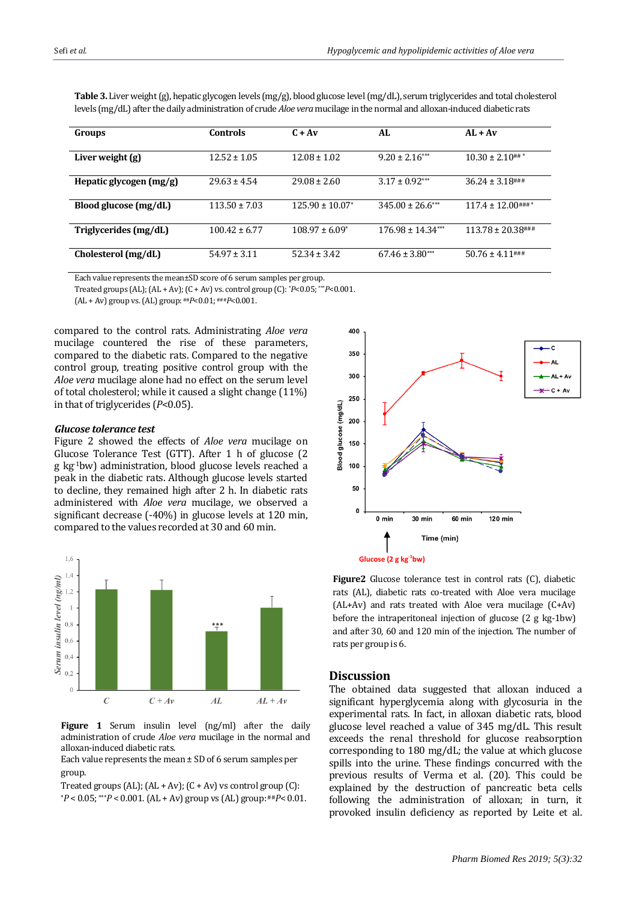| Groups                    | <b>Controls</b>   | $C + Av$                        | AL                   | $AL + Av$              |
|---------------------------|-------------------|---------------------------------|----------------------|------------------------|
| Liver weight (g)          | $12.52 \pm 1.05$  | $12.08 \pm 1.02$                | $9.20 \pm 2.16***$   | $10.30 \pm 2.10$ ##*   |
| Hepatic glycogen $(mg/g)$ | $29.63 \pm 4.54$  | $29.08 \pm 2.60$                | $3.17 + 0.92***$     | $36.24 \pm 3.18$ ###   |
| Blood glucose (mg/dL)     | $113.50 \pm 7.03$ | $125.90 \pm 10.07$ <sup>*</sup> | $345.00 \pm 26.6***$ | $117.4 \pm 12.00$ ###* |
| Triglycerides (mg/dL)     | $100.42 + 6.77$   | $108.97 \pm 6.09^*$             | $176.98 + 14.34***$  | $113.78 \pm 20.38$ ### |
| Cholesterol (mg/dL)       | $54.97 \pm 3.11$  | $52.34 + 3.42$                  | $67.46 \pm 3.80***$  | $50.76 \pm 4.11$ ###   |

**Table 3.** Liver weight (g), hepatic glycogen levels (mg/g), blood glucose level (mg/dL), serum triglycerides and total cholesterol levels (mg/dL) after the daily administration of crude *Aloe vera* mucilage in the normal and alloxan-induced diabetic rats

Each value represents the mean±SD score of 6 serum samples per group.

Treated groups (AL); (AL + Av); (C + Av) vs. control group (C): \**P*<0.05; \*\*\**P*<0.001.

(AL + Av) group vs. (AL) group:##*P*<0.01; ###*P*<0.001.

compared to the control rats. Administrating *Aloe vera*  mucilage countered the rise of these parameters, compared to the diabetic rats. Compared to the negative control group, treating positive control group with the *Aloe vera* mucilage alone had no effect on the serum level of total cholesterol; while it caused a slight change (11%) in that of triglycerides (*P*<0.05).

#### *Glucose tolerance test*

Figure 2 showed the effects of *Aloe vera* mucilage on Glucose Tolerance Test (GTT). After 1 h of glucose (2 g kg-1bw) administration, blood glucose levels reached a peak in the diabetic rats. Although glucose levels started to decline, they remained high after 2 h. In diabetic rats administered with *Aloe vera* mucilage, we observed a significant decrease (-40%) in glucose levels at 120 min, compared to the values recorded at 30 and 60 min.



Figure 1 Serum insulin level (ng/ml) after the daily administration of crude *Aloe vera* mucilage in the normal and alloxan-induced diabetic rats.

Each value represents the mean  $\pm$  SD of 6 serum samples per group.

Treated groups (AL);  $(AL + Av)$ ;  $(C + Av)$  vs control group  $(C)$ :  $*P < 0.05$ ; \*\*\* $P < 0.001$ . (AL + Av) group vs (AL) group:  $#P < 0.01$ .



**Figure2** Glucose tolerance test in control rats (C), diabetic rats (AL), diabetic rats co-treated with Aloe vera mucilage (AL+Av) and rats treated with Aloe vera mucilage (C+Av) before the intraperitoneal injection of glucose (2 g kg-1bw) and after 30, 60 and 120 min of the injection. The number of rats per group is 6.

### **Discussion**

The obtained data suggested that alloxan induced a significant hyperglycemia along with glycosuria in the experimental rats. In fact, in alloxan diabetic rats, blood glucose level reached a value of 345 mg/dL. This result exceeds the renal threshold for glucose reabsorption corresponding to 180 mg/dL; the value at which glucose spills into the urine. These findings concurred with the previous results of Verma et al. (20). This could be explained by the destruction of pancreatic beta cells following the administration of alloxan; in turn, it provoked insulin deficiency as reported by Leite et al.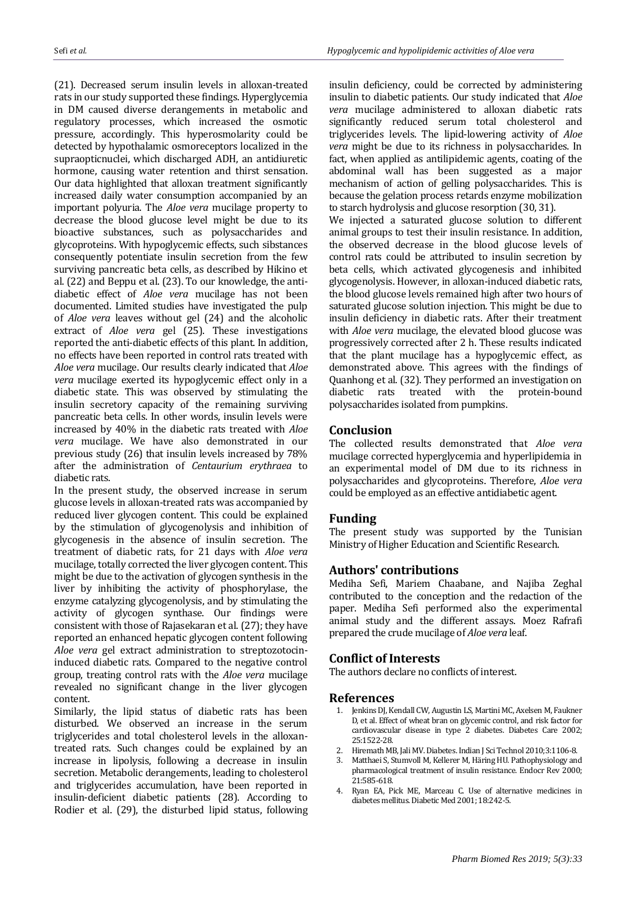(21). Decreased serum insulin levels in alloxan-treated rats in our study supported these findings. Hyperglycemia in DM caused diverse derangements in metabolic and regulatory processes, which increased the osmotic pressure, accordingly. This hyperosmolarity could be detected by hypothalamic osmoreceptors localized in the supraopticnuclei, which discharged ADH, an antidiuretic hormone, causing water retention and thirst sensation. Our data highlighted that alloxan treatment significantly increased daily water consumption accompanied by an important polyuria. The *Aloe vera* mucilage property to decrease the blood glucose level might be due to its bioactive substances, such as polysaccharides and glycoproteins. With hypoglycemic effects, such sibstances consequently potentiate insulin secretion from the few surviving pancreatic beta cells, as described by Hikino et al. (22) and Beppu et al. (23). To our knowledge, the antidiabetic effect of *Aloe vera* mucilage has not been documented. Limited studies have investigated the pulp of *Aloe vera* leaves without gel (24) and the alcoholic extract of *Aloe vera* gel (25). These investigations reported the anti-diabetic effects of this plant. In addition, no effects have been reported in control rats treated with *Aloe vera* mucilage. Our results clearly indicated that *Aloe vera* mucilage exerted its hypoglycemic effect only in a diabetic state. This was observed by stimulating the insulin secretory capacity of the remaining surviving pancreatic beta cells. In other words, insulin levels were increased by 40% in the diabetic rats treated with *Aloe vera* mucilage. We have also demonstrated in our previous study (26) that insulin levels increased by 78% after the administration of *Centaurium erythraea* to diabetic rats.

In the present study, the observed increase in serum glucose levels in alloxan-treated rats was accompanied by reduced liver glycogen content. This could be explained by the stimulation of glycogenolysis and inhibition of glycogenesis in the absence of insulin secretion. The treatment of diabetic rats, for 21 days with *Aloe vera*  mucilage, totally corrected the liver glycogen content. This might be due to the activation of glycogen synthesis in the liver by inhibiting the activity of phosphorylase, the enzyme catalyzing glycogenolysis, and by stimulating the activity of glycogen synthase. Our findings were consistent with those of Rajasekaran et al. (27); they have reported an enhanced hepatic glycogen content following *Aloe vera* gel extract administration to streptozotocininduced diabetic rats. Compared to the negative control group, treating control rats with the *Aloe vera* mucilage revealed no significant change in the liver glycogen content.

Similarly, the lipid status of diabetic rats has been disturbed. We observed an increase in the serum triglycerides and total cholesterol levels in the alloxantreated rats. Such changes could be explained by an increase in lipolysis, following a decrease in insulin secretion. Metabolic derangements, leading to cholesterol and triglycerides accumulation, have been reported in insulin-deficient diabetic patients (28). According to Rodier et al. (29), the disturbed lipid status, following insulin deficiency, could be corrected by administering insulin to diabetic patients. Our study indicated that *Aloe vera* mucilage administered to alloxan diabetic rats significantly reduced serum total cholesterol and triglycerides levels. The lipid-lowering activity of *Aloe vera* might be due to its richness in polysaccharides. In fact, when applied as antilipidemic agents, coating of the abdominal wall has been suggested as a major mechanism of action of gelling polysaccharides. This is because the gelation process retards enzyme mobilization to starch hydrolysis and glucose resorption (30, 31). We injected a saturated glucose solution to different animal groups to test their insulin resistance. In addition, the observed decrease in the blood glucose levels of control rats could be attributed to insulin secretion by beta cells, which activated glycogenesis and inhibited glycogenolysis. However, in alloxan-induced diabetic rats, the blood glucose levels remained high after two hours of saturated glucose solution injection. This might be due to insulin deficiency in diabetic rats. After their treatment with *Aloe vera* mucilage, the elevated blood glucose was progressively corrected after 2 h. These results indicated that the plant mucilage has a hypoglycemic effect, as demonstrated above. This agrees with the findings of Quanhong et al. (32). They performed an investigation on diabetic rats treated with the protein-bound polysaccharides isolated from pumpkins.

# **Conclusion**

The collected results demonstrated that *Aloe vera*  mucilage corrected hyperglycemia and hyperlipidemia in an experimental model of DM due to its richness in polysaccharides and glycoproteins. Therefore, *Aloe vera*  could be employed as an effective antidiabetic agent.

# **Funding**

The present study was supported by the Tunisian Ministry of Higher Education and Scientific Research.

# **Authors' contributions**

Mediha Sefi, Mariem Chaabane, and Najiba Zeghal contributed to the conception and the redaction of the paper. Mediha Sefi performed also the experimental animal study and the different assays. Moez Rafrafi prepared the crude mucilage of *Aloe vera* leaf.

# **Conflict of Interests**

The authors declare no conflicts of interest.

### **References**

- 1. Jenkins DJ, Kendall CW, Augustin LS, Martini MC, Axelsen M, Faukner D, et al. Effect of wheat bran on glycemic control, and risk factor for cardiovascular disease in type 2 diabetes. Diabetes Care 2002; 25:1522-28.
- 2. Hiremath MB, Jali MV. Diabetes. Indian J Sci Technol 2010;3:1106-8.
- 3. Matthaei S, Stumvoll M, Kellerer M, Häring HU. Pathophysiology and pharmacological treatment of insulin resistance. Endocr Rev 2000; 21:585-618.
- 4. Ryan EA, Pick ME, Marceau C. Use of alternative medicines in diabetes mellitus. Diabetic Med 2001; 18:242-5.